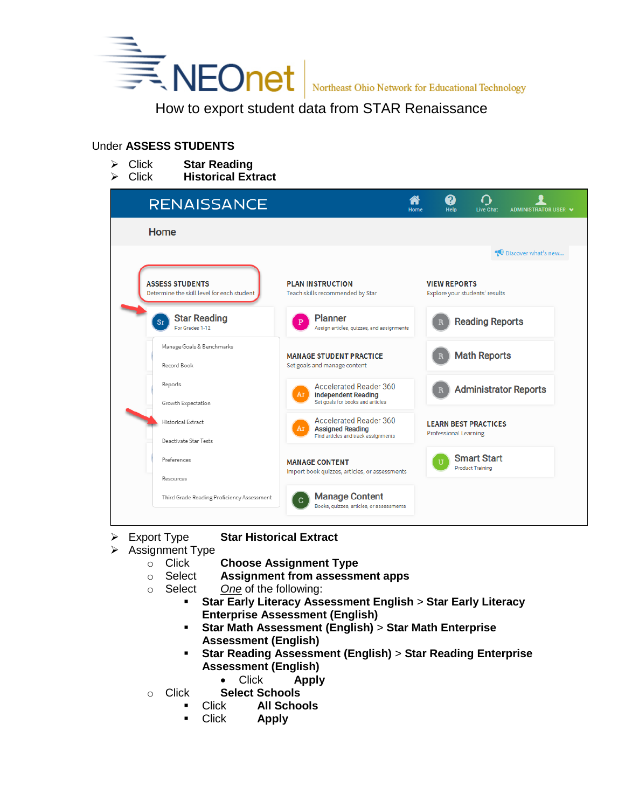

Northeast Ohio Network for Educational Technology

# Under **ASSESS STUDENTS**

 Click **Star Reading** Click **Historical Extract**

| <b>RENAISSANCE</b>                                                   |                                                                                                       | Home | 2<br><b>Help</b>                                            | <b>Live Chat</b>                              | ADMINISTRATOR USER V         |
|----------------------------------------------------------------------|-------------------------------------------------------------------------------------------------------|------|-------------------------------------------------------------|-----------------------------------------------|------------------------------|
| Home                                                                 |                                                                                                       |      |                                                             |                                               |                              |
|                                                                      |                                                                                                       |      |                                                             |                                               | Discover what's new          |
| <b>ASSESS STUDENTS</b><br>Determine the skill level for each student | <b>PLAN INSTRUCTION</b><br>Teach skills recommended by Star                                           |      | <b>VIEW REPORTS</b><br>Explore your students' results       |                                               |                              |
| <b>Star Reading</b><br><b>Sr</b><br>For Grades 1-12                  | <b>Planner</b><br>Assign articles, quizzes, and assignments                                           |      |                                                             | <b>Reading Reports</b>                        |                              |
| Manage Goals & Benchmarks<br>Record Book                             | <b>MANAGE STUDENT PRACTICE</b><br>Set goals and manage content                                        |      |                                                             | <b>Math Reports</b>                           |                              |
| Reports<br>Growth Expectation                                        | <b>Accelerated Reader 360</b><br>Ar<br><b>Independent Reading</b><br>Set goals for books and articles |      |                                                             |                                               | <b>Administrator Reports</b> |
| Historical Extract<br>Deactivate Star Tests                          | <b>Accelerated Reader 360</b><br>Ar<br><b>Assigned Reading</b><br>Find articles and track assignments |      | <b>LEARN BEST PRACTICES</b><br><b>Professional Learning</b> |                                               |                              |
| Preferences                                                          | <b>MANAGE CONTENT</b><br>Import book quizzes, articles, or assessments                                |      |                                                             | <b>Smart Start</b><br><b>Product Training</b> |                              |
| Resources                                                            |                                                                                                       |      |                                                             |                                               |                              |
| Third Grade Reading Proficiency Assessment                           | <b>Manage Content</b><br>Books, quizzes, articles, or assessments                                     |      |                                                             |                                               |                              |

- Export Type **Star Historical Extract**
- $\triangleright$  Assignment Type
	- o Click **Choose Assignment Type**
	- o Select **Assignment from assessment apps**
	- o Select *One* of the following:
		- **Star Early Literacy Assessment English** > **Star Early Literacy Enterprise Assessment (English)**
		- **Star Math Assessment (English)** > **Star Math Enterprise Assessment (English)**
		- **Star Reading Assessment (English)** > **Star Reading Enterprise Assessment (English)**
			- Click **Apply**
	- o Click **Select Schools**
		- Click **All Schools**
		- Click **Apply**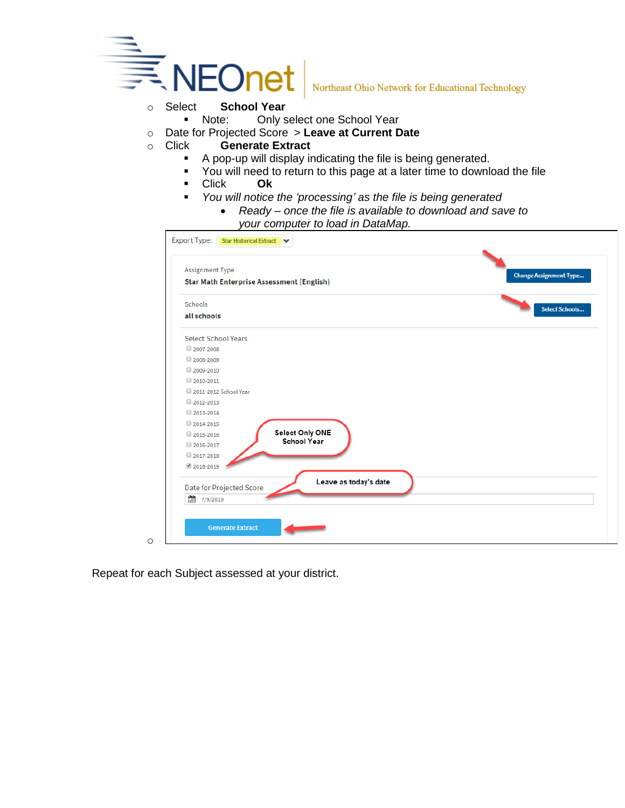

Northeast Ohio Network for Educational Technology

- - Note: Only select one School Year
- o Date for Projected Score > **Leave at Current Date**
- o Click **Generate Extract**
	- A pop-up will display indicating the file is being generated.
	- You will need to return to this page at a later time to download the file
	- Click **Ok**
	- *You will notice the 'processing' as the file is being generated*
		- *Ready – once the file is available to download and save to your computer to load in DataMap.*



Repeat for each Subject assessed at your district.

o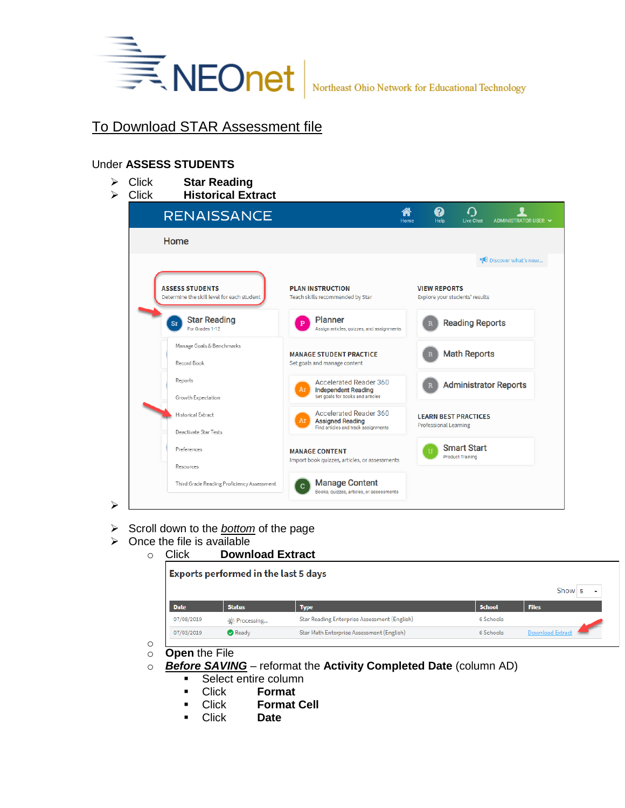

### Under **ASSESS STUDENTS**

Click **Star Reading**

| Click | <b>Historical Extract</b> |  |
|-------|---------------------------|--|
|       |                           |  |

| <b>RENAISSANCE</b>                                                   |                                                                   | Home | Help                         | <b>Live Chat</b>                              | ADMINISTRATOR USER V         |
|----------------------------------------------------------------------|-------------------------------------------------------------------|------|------------------------------|-----------------------------------------------|------------------------------|
| Home                                                                 |                                                                   |      |                              |                                               |                              |
|                                                                      |                                                                   |      |                              |                                               | Discover what's new          |
| <b>ASSESS STUDENTS</b><br>Determine the skill level for each student | <b>PLAN INSTRUCTION</b><br>Teach skills recommended by Star       |      | <b>VIEW REPORTS</b>          | Explore your students' results                |                              |
| <b>Star Reading</b><br>Sr<br>For Grades 1-12                         | <b>Planner</b><br>Assign articles, quizzes, and assignments       |      |                              | <b>Reading Reports</b>                        |                              |
| Manage Goals & Benchmarks                                            | <b>MANAGE STUDENT PRACTICE</b>                                    |      |                              | <b>Math Reports</b>                           |                              |
| Record Book                                                          | Set goals and manage content                                      |      |                              |                                               |                              |
| Reports                                                              | <b>Accelerated Reader 360</b><br>Ar<br><b>Independent Reading</b> |      |                              |                                               | <b>Administrator Reports</b> |
| Growth Expectation                                                   | Set goals for books and articles                                  |      |                              |                                               |                              |
| Historical Extract                                                   | <b>Accelerated Reader 360</b><br>Ar<br><b>Assigned Reading</b>    |      |                              | <b>LEARN BEST PRACTICES</b>                   |                              |
| Deactivate Star Tests                                                | Find articles and track assignments                               |      | <b>Professional Learning</b> |                                               |                              |
| Preferences                                                          | <b>MANAGE CONTENT</b>                                             |      | TT.                          | <b>Smart Start</b><br><b>Product Training</b> |                              |
| Resources                                                            | Import book quizzes, articles, or assessments                     |      |                              |                                               |                              |
| Third Grade Reading Proficiency Assessment                           | <b>Manage Content</b><br>Books, quizzes, articles, or assessments |      |                              |                                               |                              |

- Scroll down to the *bottom* of the page
- $\triangleright$  Once the file is available

 $\blacktriangleright$ 

| Click       | <b>Download Extract</b>                     |                                              |               |                         |
|-------------|---------------------------------------------|----------------------------------------------|---------------|-------------------------|
|             | <b>Exports performed in the last 5 days</b> |                                              |               |                         |
|             |                                             |                                              |               | Show 5<br>٠             |
| <b>Date</b> | <b>Status</b>                               | <b>Type</b>                                  | <b>School</b> | <b>Files</b>            |
| 07/08/2019  | * Processing                                | Star Reading Enterprise Assessment (English) | 6 Schools     |                         |
| 07/03/2019  | <b>Ready</b>                                | Star Math Enterprise Assessment (English)    | 6 Schools     | <b>Download Extract</b> |

- o o **Open** the File
- o *Before SAVING* reformat the **Activity Completed Date** (column AD)
	- **Select entire column**
	- Click **Format**
	- Click **Format Cell**
	- Click **Date**